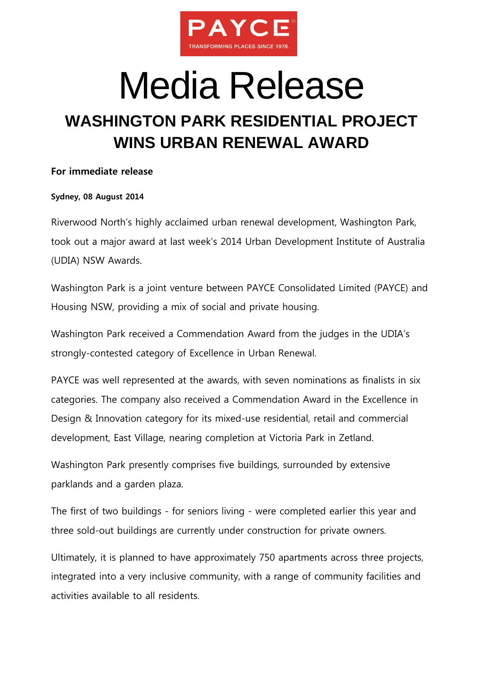

# Media Release

## **WASHINGTON PARK RESIDENTIAL PROJECT WINS URBAN RENEWAL AWARD**

### **For immediate release**

### **Sydney, 08 August 2014**

Riverwood North's highly acclaimed urban renewal development, Washington Park, took out a major award at last week's 2014 Urban Development Institute of Australia (UDIA) NSW Awards.

Washington Park is a joint venture between PAYCE Consolidated Limited (PAYCE) and Housing NSW, providing a mix of social and private housing.

Washington Park received a Commendation Award from the judges in the UDIA's strongly-contested category of Excellence in Urban Renewal.

PAYCE was well represented at the awards, with seven nominations as finalists in six categories. The company also received a Commendation Award in the Excellence in Design & Innovation category for its mixed-use residential, retail and commercial development, East Village, nearing completion at Victoria Park in Zetland.

Washington Park presently comprises five buildings, surrounded by extensive parklands and a garden plaza.

The first of two buildings - for seniors living - were completed earlier this year and three sold-out buildings are currently under construction for private owners.

Ultimately, it is planned to have approximately 750 apartments across three projects, integrated into a very inclusive community, with a range of community facilities and activities available to all residents.